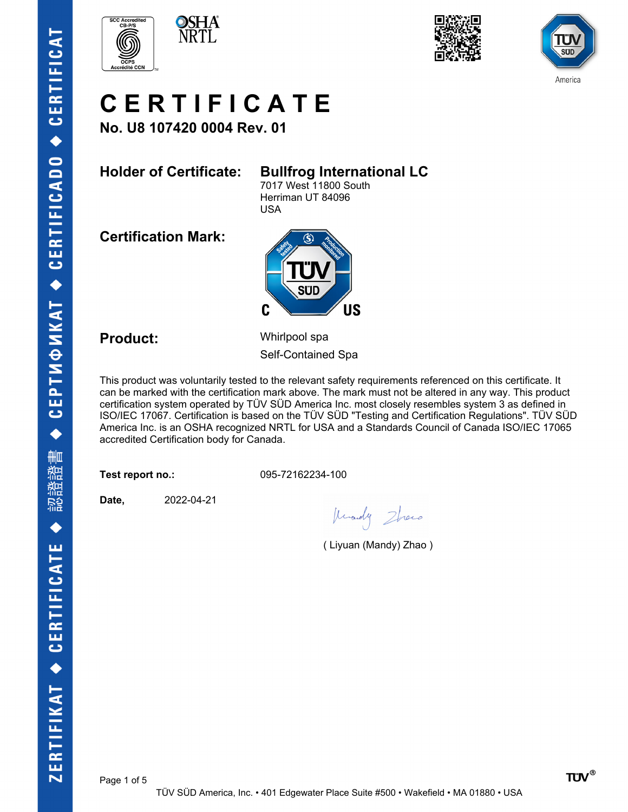







# **C E R T I F I C A T E**

**No. U8 107420 0004 Rev. 01**

### **Holder of Certificate: Bullfrog International LC**

7017 West 11800 South Herriman UT 84096 USA

**Certification Mark:**



**Product:** Whirlpool spa Self-Contained Spa

This product was voluntarily tested to the relevant safety requirements referenced on this certificate. It can be marked with the certification mark above. The mark must not be altered in any way. This product certification system operated by TÜV SÜD America Inc. most closely resembles system 3 as defined in ISO/IEC 17067. Certification is based on the TÜV SÜD "Testing and Certification Regulations". TÜV SÜD America Inc. is an OSHA recognized NRTL for USA and a Standards Council of Canada ISO/IEC 17065 accredited Certification body for Canada.

**Test report no.:** 095-72162234-100

**Date,** 2022-04-21

Knowly Zhero

( Liyuan (Mandy) Zhao )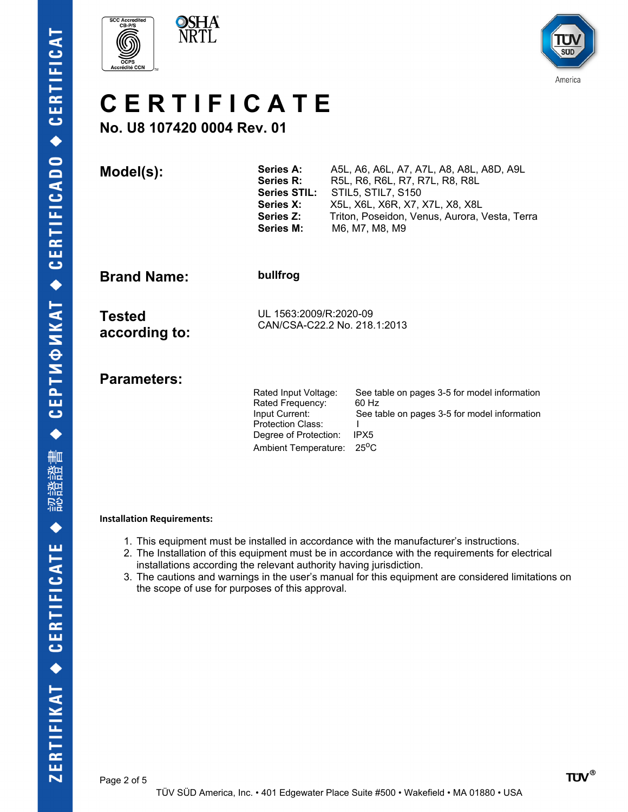





## **C E R T I F I C A T E**

## **No. U8 107420 0004 Rev. 01**

 $Model(s):$ 

| <b>Series A:</b>    | A5L, A6, A6L, A7, A7L, A8, A8L, A8D, A9L      |
|---------------------|-----------------------------------------------|
| <b>Series R:</b>    | R5L, R6, R6L, R7, R7L, R8, R8L                |
| <b>Series STIL:</b> | <b>STIL5, STIL7, S150</b>                     |
| <b>Series X:</b>    | X5L, X6L, X6R, X7, X7L, X8, X8L               |
| Series Z:           | Triton, Poseidon, Venus, Aurora, Vesta, Terra |
| <b>Series M:</b>    | M6, M7, M8, M9                                |

**Brand Name: bullfrog**

**Tested according to:** UL 1563:2009/R:2020-09 CAN/CSA-C22.2 No. 218.1:2013

**Parameters:** 

| Rated Input Voltage:<br>Rated Frequency: | See table on pages 3-5 for model information<br>60 Hz |
|------------------------------------------|-------------------------------------------------------|
| Input Current:                           | See table on pages 3-5 for model information          |
| <b>Protection Class:</b>                 |                                                       |
| Degree of Protection:                    | IPX <sub>5</sub>                                      |
| Ambient Temperature: 25°C                |                                                       |

### **Installation Requirements:**

- 1. This equipment must be installed in accordance with the manufacturer's instructions.
- 2. The Installation of this equipment must be in accordance with the requirements for electrical installations according the relevant authority having jurisdiction.
- 3. The cautions and warnings in the user's manual for this equipment are considered limitations on the scope of use for purposes of this approval.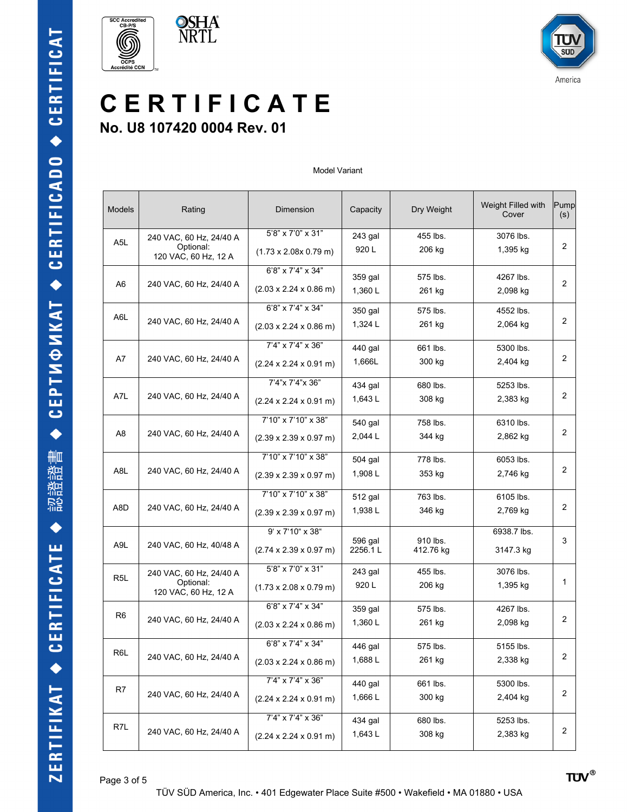



## **C E R T I F I C A T E No. U8 107420 0004 Rev. 01**

#### Model Variant

| Models           | Rating                                                       | Dimension                                                              | Capacity           | Dry Weight            | Weight Filled with<br>Cover | Pump<br>(s)    |
|------------------|--------------------------------------------------------------|------------------------------------------------------------------------|--------------------|-----------------------|-----------------------------|----------------|
| A <sub>5</sub> L | 240 VAC, 60 Hz, 24/40 A<br>Optional:<br>120 VAC, 60 Hz, 12 A | 5'8" x 7'0" x 31"<br>$(1.73 \times 2.08 \times 0.79 \text{ m})$        | 243 gal<br>920 L   | 455 lbs.<br>206 kg    | 3076 lbs.<br>1,395 kg       | 2              |
| A6               | 240 VAC, 60 Hz, 24/40 A                                      | 6'8" x 7'4" x 34"<br>$(2.03 \times 2.24 \times 0.86 \text{ m})$        | 359 gal<br>1,360L  | 575 lbs.<br>261 kg    | 4267 lbs.<br>2,098 kg       | $\overline{2}$ |
| A6L              | 240 VAC, 60 Hz, 24/40 A                                      | 6'8" x 7'4" x 34"<br>$(2.03 \times 2.24 \times 0.86 \text{ m})$        | 350 gal<br>1,324 L | 575 lbs.<br>261 kg    | 4552 lbs.<br>2,064 kg       | $\overline{2}$ |
| A7               | 240 VAC, 60 Hz, 24/40 A                                      | 7'4" x 7'4" x 36"<br>$(2.24 \times 2.24 \times 0.91 \text{ m})$        | 440 gal<br>1,666L  | 661 lbs.<br>300 kg    | 5300 lbs.<br>2,404 kg       | $\overline{2}$ |
| A7L              | 240 VAC, 60 Hz, 24/40 A                                      | 7'4"x 7'4"x 36"<br>$(2.24 \times 2.24 \times 0.91 \text{ m})$          | 434 gal<br>1,643L  | 680 lbs.<br>308 kg    | 5253 lbs.<br>2,383 kg       | $\overline{2}$ |
| A8               | 240 VAC, 60 Hz, 24/40 A                                      | 7'10" x 7'10" x 38"<br>$(2.39 \times 2.39 \times 0.97 \text{ m})$      | 540 gal<br>2,044 L | 758 lbs.<br>344 kg    | 6310 lbs.<br>2,862 kg       | 2              |
| A8L              | 240 VAC, 60 Hz, 24/40 A                                      | 7'10" x 7'10" x 38"<br>$(2.39 \times 2.39 \times 0.97 \text{ m})$      | 504 gal<br>1,908L  | 778 lbs.<br>353 kg    | 6053 lbs.<br>2,746 kg       | 2              |
| A8D              | 240 VAC, 60 Hz, 24/40 A                                      | 7'10" x 7'10" x 38"<br>$(2.39 \times 2.39 \times 0.97 \text{ m})$      | 512 gal<br>1,938L  | 763 lbs.<br>346 kg    | 6105 lbs.<br>2,769 kg       | $\overline{2}$ |
| A9L              | 240 VAC, 60 Hz, 40/48 A                                      | $9'$ x $7'10''$ x $38''$<br>$(2.74 \times 2.39 \times 0.97 \text{ m})$ | 596 gal<br>2256.1L | 910 lbs.<br>412.76 kg | 6938.7 lbs.<br>3147.3 kg    | 3              |
| R <sub>5</sub> L | 240 VAC, 60 Hz, 24/40 A<br>Optional:<br>120 VAC, 60 Hz, 12 A | 5'8" x 7'0" x 31"<br>$(1.73 \times 2.08 \times 0.79 \text{ m})$        | 243 gal<br>920L    | 455 lbs.<br>206 kg    | 3076 lbs.<br>1,395 kg       | 1              |
| R <sub>6</sub>   | 240 VAC, 60 Hz, 24/40 A                                      | 6'8" x 7'4" x 34"<br>$(2.03 \times 2.24 \times 0.86 \text{ m})$        | 359 gal<br>1,360L  | 575 lbs.<br>261 kg    | 4267 lbs.<br>2,098 kg       | $\overline{2}$ |
| R6L              | 240 VAC, 60 Hz, 24/40 A                                      | 6'8" x 7'4" x 34"<br>$(2.03 \times 2.24 \times 0.86 \text{ m})$        | 446 gal<br>1,688L  | 575 lbs.<br>261 kg    | 5155 lbs.<br>2,338 kg       | 2              |
| R7               | 240 VAC, 60 Hz, 24/40 A                                      | 7'4" x 7'4" x 36"<br>$(2.24 \times 2.24 \times 0.91 \text{ m})$        | 440 gal<br>1,666L  | 661 lbs.<br>300 kg    | 5300 lbs.<br>2,404 kg       | 2              |
| R7L              | 240 VAC, 60 Hz, 24/40 A                                      | 7'4" x 7'4" x 36"<br>$(2.24 \times 2.24 \times 0.91 \text{ m})$        | 434 gal<br>1,643L  | 680 lbs.<br>308 kg    | 5253 lbs.<br>2,383 kg       | 2              |
|                  |                                                              |                                                                        |                    |                       |                             |                |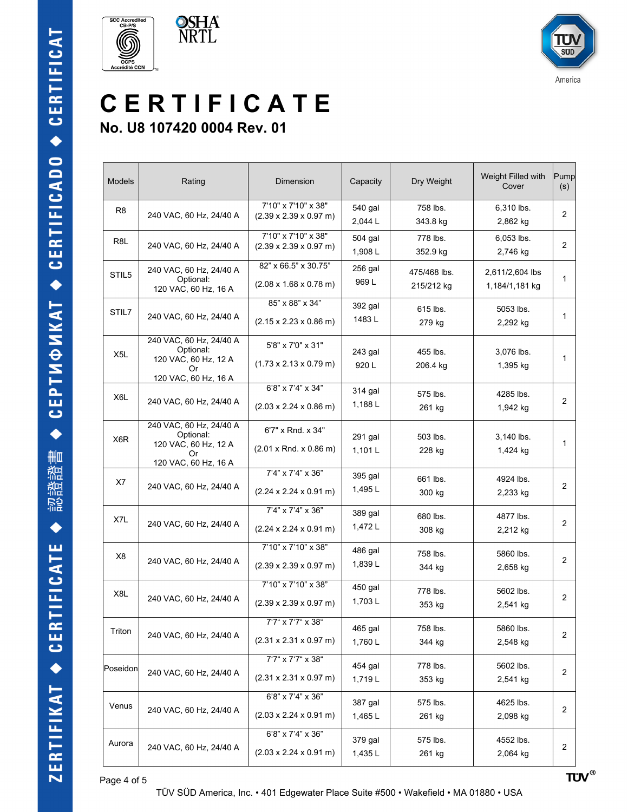







## **C E R T I F I C A T E No. U8 107420 0004 Rev. 01**

| <b>Models</b>    | Rating                                                                                     | Dimension                                                                      | Capacity           | Dry Weight                 | Weight Filled with<br>Cover       | Pump<br>(s)    |
|------------------|--------------------------------------------------------------------------------------------|--------------------------------------------------------------------------------|--------------------|----------------------------|-----------------------------------|----------------|
| R <sub>8</sub>   | 240 VAC, 60 Hz, 24/40 A                                                                    | 7'10" x 7'10" x 38"<br>$(2.39 \times 2.39 \times 0.97 \text{ m})$              | 540 gal<br>2,044 L | 758 lbs.<br>343.8 kg       | 6,310 lbs.<br>2,862 kg            | $\overline{2}$ |
| R8L              | 240 VAC, 60 Hz, 24/40 A                                                                    | 7'10" x 7'10" x 38"<br>$(2.39 \times 2.39 \times 0.97 \text{ m})$              | 504 gal<br>1,908L  | 778 lbs.<br>352.9 kg       | 6,053 lbs.<br>2,746 kg            | $\overline{2}$ |
| STIL5            | 240 VAC, 60 Hz, 24/40 A<br>Optional:<br>120 VAC, 60 Hz, 16 A                               | 82" x 66.5" x 30.75"<br>$(2.08 \times 1.68 \times 0.78 \text{ m})$             | 256 gal<br>969 L   | 475/468 lbs.<br>215/212 kg | 2,611/2,604 lbs<br>1,184/1,181 kg | $\mathbf{1}$   |
| STIL7            | 240 VAC, 60 Hz, 24/40 A                                                                    | 85" x 88" x 34"<br>$(2.15 \times 2.23 \times 0.86 \text{ m})$                  | 392 gal<br>1483 L  | 615 lbs.<br>279 kg         | 5053 lbs.<br>2,292 kg             | $\mathbf{1}$   |
| X <sub>5</sub> L | 240 VAC, 60 Hz, 24/40 A<br>Optional:<br>120 VAC, 60 Hz, 12 A<br>Or<br>120 VAC, 60 Hz, 16 A | 5'8" x 7'0" x 31"<br>$(1.73 \times 2.13 \times 0.79 \text{ m})$                | 243 gal<br>920L    | 455 lbs.<br>206.4 kg       | 3,076 lbs.<br>1,395 kg            | 1              |
| X6L              | 240 VAC, 60 Hz, 24/40 A                                                                    | 6'8" x 7'4" x 34"<br>$(2.03 \times 2.24 \times 0.86 \text{ m})$                | 314 gal<br>1,188L  | 575 lbs.<br>261 kg         | 4285 lbs.<br>1,942 kg             | 2              |
| X6R              | 240 VAC, 60 Hz, 24/40 A<br>Optional:<br>120 VAC, 60 Hz, 12 A<br>Or<br>120 VAC, 60 Hz, 16 A | 6'7" x Rnd. x 34"<br>$(2.01 \times$ Rnd. $\times$ 0.86 m)                      | 291 gal<br>1,101L  | 503 lbs.<br>228 kg         | 3,140 lbs.<br>1,424 kg            | 1              |
| X7               | 240 VAC, 60 Hz, 24/40 A                                                                    | 7'4" x 7'4" x 36"<br>$(2.24 \times 2.24 \times 0.91 \text{ m})$                | 395 gal<br>1,495L  | 661 lbs.<br>300 kg         | 4924 lbs.<br>2,233 kg             | 2              |
| X7L              | 240 VAC, 60 Hz, 24/40 A                                                                    | 7'4" x 7'4" x 36"<br>$(2.24 \times 2.24 \times 0.91 \text{ m})$                | 389 gal<br>1,472L  | 680 lbs.<br>308 kg         | 4877 lbs.<br>2,212 kg             | $\overline{2}$ |
| X <sub>8</sub>   | 240 VAC, 60 Hz, 24/40 A                                                                    | 7'10" x 7'10" x 38"<br>$(2.39 \times 2.39 \times 0.97 \text{ m})$              | 486 gal<br>1,839L  | 758 lbs.<br>344 kg         | 5860 lbs.<br>2,658 kg             | $\overline{2}$ |
| X8L              | 240 VAC, 60 Hz, 24/40 A                                                                    | 7'10" x 7'10" x 38"<br>$(2.39 \times 2.39 \times 0.97 \text{ m})$              | 450 gal<br>1,703L  | 778 lbs.<br>353 kg         | 5602 lbs.<br>2,541 kg             | 2              |
| Triton           | 240 VAC, 60 Hz, 24/40 A                                                                    | 7'7" x 7'7" x 38"<br>$(2.31 \times 2.31 \times 0.97 \text{ m})$                | 465 gal<br>1,760L  | 758 lbs.<br>344 kg         | 5860 lbs.<br>2,548 kg             | $\overline{2}$ |
| Poseidon         | 240 VAC, 60 Hz, 24/40 A                                                                    | 7'7" x 7'7" x 38"<br>$(2.31 \times 2.31 \times 0.97 \text{ m})$                | 454 gal<br>1,719L  | 778 lbs.<br>353 kg         | 5602 lbs.<br>2,541 kg             | $\overline{c}$ |
| Venus            | 240 VAC, 60 Hz, 24/40 A                                                                    | 6'8" x 7'4" x 36"<br>$(2.03 \times 2.24 \times 0.91 \text{ m})$                | 387 gal<br>1,465L  | 575 lbs.<br>261 kg         | 4625 lbs.<br>2,098 kg             | 2              |
| Aurora           | 240 VAC, 60 Hz, 24/40 A                                                                    | $6'8'' \times 7'4'' \times 36''$<br>$(2.03 \times 2.24 \times 0.91 \text{ m})$ | 379 gal<br>1,435L  | 575 lbs.<br>261 kg         | 4552 lbs.<br>2,064 kg             | $\overline{c}$ |

Page 4 of 5